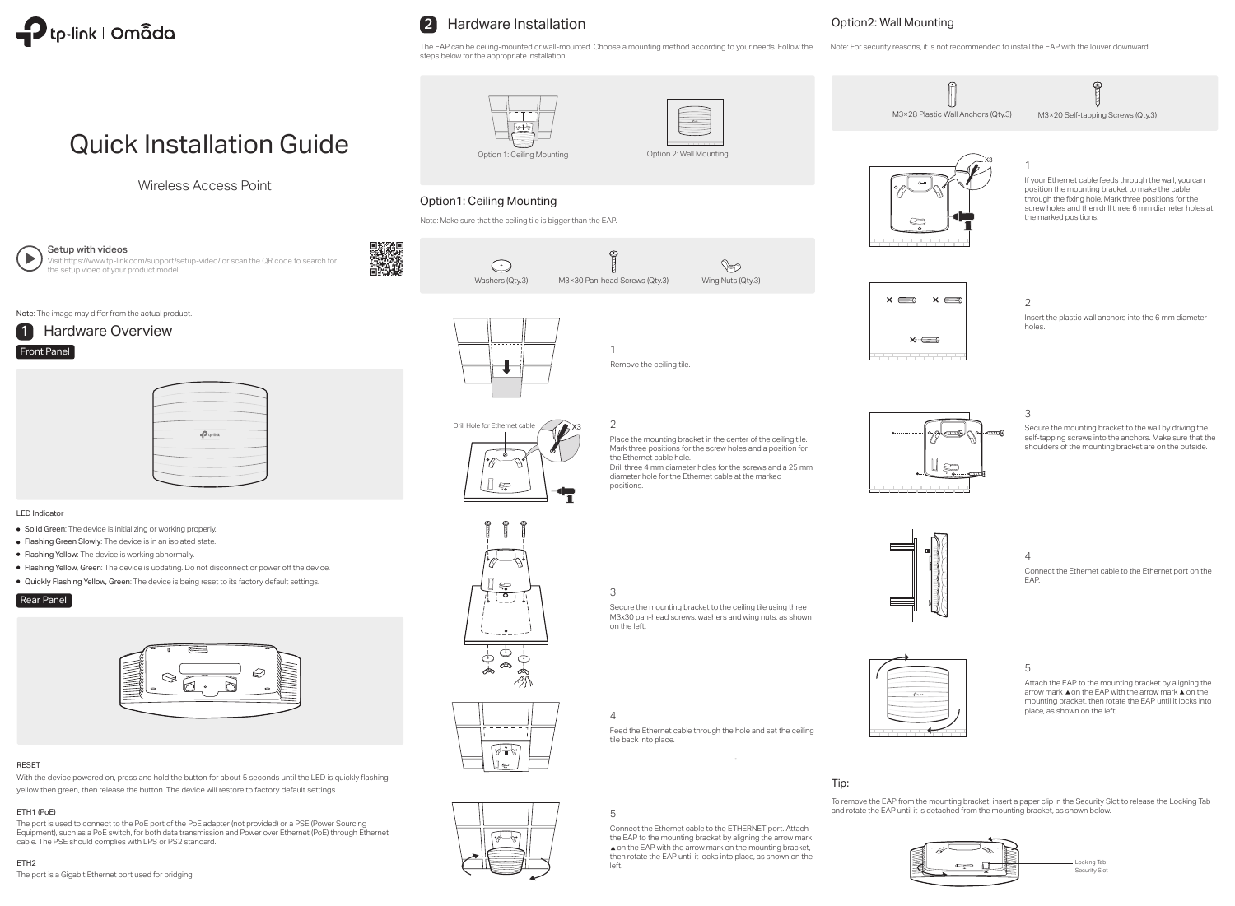

# 2 Hardware Installation

# Quick Installation Guide

Wireless Access Point



Setup with videos

Visit https://www.tp-link.com/support/setup-video/ or scan the QR code to search for the setup video of your product model.



Note: The image may differ from the actual product.

Note: Make sure that the ceiling tile is bigger than the EAP.

## Option1: Ceiling Mounting

## Option2: Wall Mounting









 $\mathbb{P}$ 

## 2

Place the mounting bracket in the center of the ceiling tile. Mark three positions for the screw holes and a position for the Ethernet cable hole. Drill three 4 mm diameter holes for the screws and a 25 mm

diameter hole for the Ethernet cable at the marked positions.



 $\sum_{i=1}^{n}$ 





1

 $\mathfrak{E}$ 

The EAP can be ceiling-mounted or wall-mounted. Choose a mounting method according to your needs. Follow the steps below for the appropriate installation. Note: For security reasons, it is not recommended to install the EAP with the louver downward.

Remove the ceiling tile.

3

Secure the mounting bracket to the ceiling tile using three M3x30 pan-head screws, washers and wing nuts, as shown on the left.

## 4

Feed the Ethernet cable through the hole and set the ceiling tile back into place.

5

Connect the Ethernet cable to the ETHERNET port. Attach the EAP to the mounting bracket by aligning the arrow mark  $\triangle$  on the EAP with the arrow mark on the mounting bracket, then rotate the EAP until it locks into place, as shown on the left.





To remove the EAP from the mounting bracket, insert a paper clip in the Security Slot to release the Locking Tab and rotate the EAP until it is detached from the mounting bracket, as shown below.

Tip:





- Solid Green: The device is initializing or working properly.
- Flashing Green Slowly: The device is in an isolated state.
- Flashing Yellow: The device is working abnormally.
- Flashing Yellow, Green: The device is updating. Do not disconnect or power off the device.
- Quickly Flashing Yellow, Green: The device is being reset to its factory default settings.



# $P_{tp\text{-lin}}$

## LED Indicator

## Rear Panel



The port is used to connect to the PoE port of the PoE adapter (not provided) or a PSE (Power Sourcing Equipment), such as a PoE switch, for both data transmission and Power over Ethernet (PoE) through Ethernet cable. The PSE should complies with LPS or PS2 standard.

## ETH1 (PoE)

The port is a Gigabit Ethernet port used for bridging.

## ETH2

With the device powered on, press and hold the button for about 5 seconds until the LED is quickly flashing yellow then green, then release the button. The device will restore to factory default settings.

## RESET